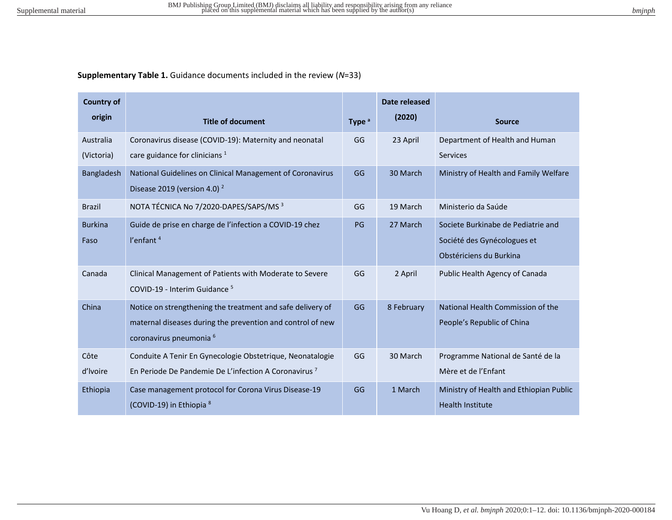## **Supplementary Table 1.** Guidance documents included in the review (*N*=33)

| <b>Country of</b> |                                                                  |                   | Date released |                                         |
|-------------------|------------------------------------------------------------------|-------------------|---------------|-----------------------------------------|
| origin            | <b>Title of document</b>                                         | Type <sup>a</sup> | (2020)        | <b>Source</b>                           |
| Australia         | Coronavirus disease (COVID-19): Maternity and neonatal           | GG                | 23 April      | Department of Health and Human          |
| (Victoria)        | care guidance for clinicians $1$                                 |                   |               | <b>Services</b>                         |
| Bangladesh        | National Guidelines on Clinical Management of Coronavirus        | GG                | 30 March      | Ministry of Health and Family Welfare   |
|                   | Disease 2019 (version 4.0) $^2$                                  |                   |               |                                         |
| <b>Brazil</b>     | NOTA TÉCNICA No 7/2020-DAPES/SAPS/MS 3                           | GG                | 19 March      | Ministerio da Saúde                     |
| <b>Burkina</b>    | Guide de prise en charge de l'infection a COVID-19 chez          | PG                | 27 March      | Societe Burkinabe de Pediatrie and      |
| Faso              | l'enfant <sup>4</sup>                                            |                   |               | Société des Gynécologues et             |
|                   |                                                                  |                   |               | Obstériciens du Burkina                 |
| Canada            | Clinical Management of Patients with Moderate to Severe          | GG                | 2 April       | Public Health Agency of Canada          |
|                   | COVID-19 - Interim Guidance <sup>5</sup>                         |                   |               |                                         |
| China             | Notice on strengthening the treatment and safe delivery of       | GG                | 8 February    | National Health Commission of the       |
|                   | maternal diseases during the prevention and control of new       |                   |               | People's Republic of China              |
|                   | coronavirus pneumonia 6                                          |                   |               |                                         |
| Côte              | Conduite A Tenir En Gynecologie Obstetrique, Neonatalogie        | GG                | 30 March      | Programme National de Santé de la       |
| d'Ivoire          | En Periode De Pandemie De L'infection A Coronavirus <sup>7</sup> |                   |               | Mère et de l'Enfant                     |
| Ethiopia          | Case management protocol for Corona Virus Disease-19             | GG                | 1 March       | Ministry of Health and Ethiopian Public |
|                   | (COVID-19) in Ethiopia <sup>8</sup>                              |                   |               | <b>Health Institute</b>                 |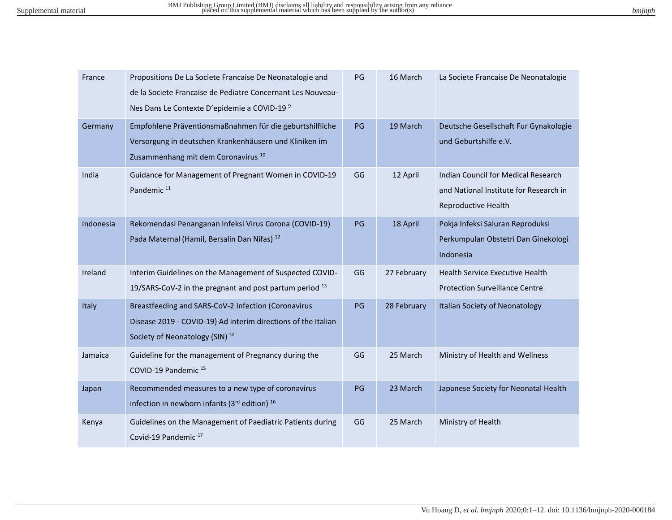| bm <sub>Inpn</sub> |  |
|--------------------|--|
|                    |  |

| France    | Propositions De La Societe Francaise De Neonatalogie and<br>de la Societe Française de Pediatre Concernant Les Nouveau-<br>Nes Dans Le Contexte D'epidemie a COVID-19 <sup>9</sup> | PG | 16 March    | La Societe Francaise De Neonatalogie                                                                 |
|-----------|------------------------------------------------------------------------------------------------------------------------------------------------------------------------------------|----|-------------|------------------------------------------------------------------------------------------------------|
| Germany   | Empfohlene Präventionsmaßnahmen für die geburtshilfliche<br>Versorgung in deutschen Krankenhäusern und Kliniken im<br>Zusammenhang mit dem Coronavirus <sup>10</sup>               | PG | 19 March    | Deutsche Gesellschaft Fur Gynakologie<br>und Geburtshilfe e.V.                                       |
| India     | Guidance for Management of Pregnant Women in COVID-19<br>Pandemic <sup>11</sup>                                                                                                    | GG | 12 April    | Indian Council for Medical Research<br>and National Institute for Research in<br>Reproductive Health |
| Indonesia | Rekomendasi Penanganan Infeksi Virus Corona (COVID-19)<br>Pada Maternal (Hamil, Bersalin Dan Nifas) <sup>12</sup>                                                                  | PG | 18 April    | Pokja Infeksi Saluran Reproduksi<br>Perkumpulan Obstetri Dan Ginekologi<br>Indonesia                 |
| Ireland   | Interim Guidelines on the Management of Suspected COVID-<br>19/SARS-CoV-2 in the pregnant and post partum period 13                                                                | GG | 27 February | Health Service Executive Health<br><b>Protection Surveillance Centre</b>                             |
| Italy     | Breastfeeding and SARS-CoV-2 Infection (Coronavirus<br>Disease 2019 - COVID-19) Ad interim directions of the Italian<br>Society of Neonatology (SIN) <sup>14</sup>                 | PG | 28 February | Italian Society of Neonatology                                                                       |
| Jamaica   | Guideline for the management of Pregnancy during the<br>COVID-19 Pandemic <sup>15</sup>                                                                                            | GG | 25 March    | Ministry of Health and Wellness                                                                      |
| Japan     | Recommended measures to a new type of coronavirus<br>infection in newborn infants (3rd edition) <sup>16</sup>                                                                      | PG | 23 March    | Japanese Society for Neonatal Health                                                                 |
| Kenya     | Guidelines on the Management of Paediatric Patients during<br>Covid-19 Pandemic <sup>17</sup>                                                                                      | GG | 25 March    | Ministry of Health                                                                                   |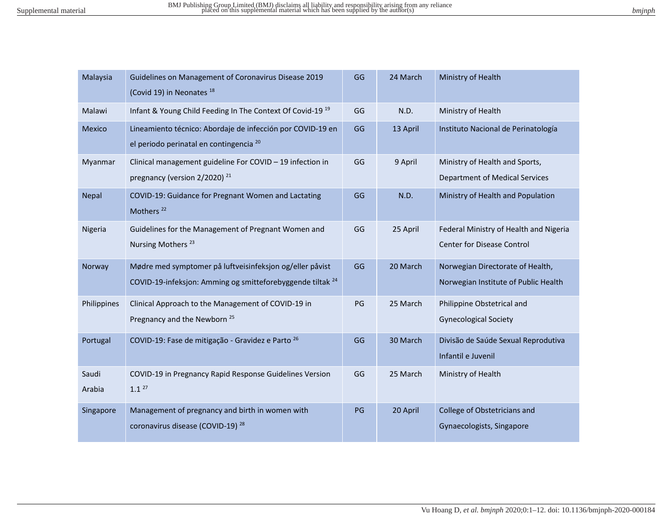| Malaysia        | Guidelines on Management of Coronavirus Disease 2019<br>(Covid 19) in Neonates <sup>18</sup>                                      | GG | 24 March | Ministry of Health                                                       |
|-----------------|-----------------------------------------------------------------------------------------------------------------------------------|----|----------|--------------------------------------------------------------------------|
| Malawi          | Infant & Young Child Feeding In The Context Of Covid-19 <sup>19</sup>                                                             | GG | N.D.     | Ministry of Health                                                       |
| <b>Mexico</b>   | Lineamiento técnico: Abordaje de infección por COVID-19 en<br>el periodo perinatal en contingencia 20                             | GG | 13 April | Instituto Nacional de Perinatología                                      |
| Myanmar         | Clinical management guideline For COVID - 19 infection in<br>pregnancy (version 2/2020) <sup>21</sup>                             | GG | 9 April  | Ministry of Health and Sports,<br><b>Department of Medical Services</b>  |
| Nepal           | COVID-19: Guidance for Pregnant Women and Lactating<br>Mothers <sup>22</sup>                                                      | GG | N.D.     | Ministry of Health and Population                                        |
| Nigeria         | Guidelines for the Management of Pregnant Women and<br>Nursing Mothers <sup>23</sup>                                              | GG | 25 April | Federal Ministry of Health and Nigeria<br>Center for Disease Control     |
| Norway          | Mødre med symptomer på luftveisinfeksjon og/eller påvist<br>COVID-19-infeksjon: Amming og smitteforebyggende tiltak <sup>24</sup> | GG | 20 March | Norwegian Directorate of Health,<br>Norwegian Institute of Public Health |
| Philippines     | Clinical Approach to the Management of COVID-19 in<br>Pregnancy and the Newborn <sup>25</sup>                                     | PG | 25 March | Philippine Obstetrical and<br><b>Gynecological Society</b>               |
| Portugal        | COVID-19: Fase de mitigação - Gravidez e Parto 26                                                                                 | GG | 30 March | Divisão de Saúde Sexual Reprodutiva<br>Infantil e Juvenil                |
| Saudi<br>Arabia | COVID-19 in Pregnancy Rapid Response Guidelines Version<br>$1.1^{27}$                                                             | GG | 25 March | Ministry of Health                                                       |
| Singapore       | Management of pregnancy and birth in women with<br>coronavirus disease (COVID-19) <sup>28</sup>                                   | PG | 20 April | College of Obstetricians and<br>Gynaecologists, Singapore                |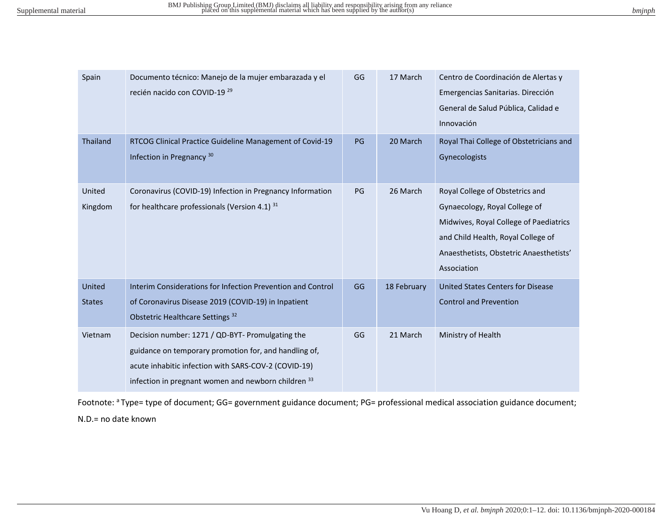| pmmpn |  |
|-------|--|
|       |  |

| Spain             | Documento técnico: Manejo de la mujer embarazada y el<br>recién nacido con COVID-19 <sup>29</sup>                                                                                                                                   | GG | 17 March    | Centro de Coordinación de Alertas y<br>Emergencias Sanitarias. Dirección<br>General de Salud Pública, Calidad e<br>Innovación                                                                              |
|-------------------|-------------------------------------------------------------------------------------------------------------------------------------------------------------------------------------------------------------------------------------|----|-------------|------------------------------------------------------------------------------------------------------------------------------------------------------------------------------------------------------------|
| Thailand          | RTCOG Clinical Practice Guideline Management of Covid-19<br>Infection in Pregnancy <sup>30</sup>                                                                                                                                    | PG | 20 March    | Royal Thai College of Obstetricians and<br>Gynecologists                                                                                                                                                   |
| United<br>Kingdom | Coronavirus (COVID-19) Infection in Pregnancy Information<br>for healthcare professionals (Version 4.1) 31                                                                                                                          | PG | 26 March    | Royal College of Obstetrics and<br>Gynaecology, Royal College of<br>Midwives, Royal College of Paediatrics<br>and Child Health, Royal College of<br>Anaesthetists, Obstetric Anaesthetists'<br>Association |
| United            | Interim Considerations for Infection Prevention and Control                                                                                                                                                                         | GG | 18 February | <b>United States Centers for Disease</b>                                                                                                                                                                   |
| <b>States</b>     | of Coronavirus Disease 2019 (COVID-19) in Inpatient<br>Obstetric Healthcare Settings <sup>32</sup>                                                                                                                                  |    |             | <b>Control and Prevention</b>                                                                                                                                                                              |
| Vietnam           | Decision number: 1271 / QD-BYT- Promulgating the<br>guidance on temporary promotion for, and handling of,<br>acute inhabitic infection with SARS-COV-2 (COVID-19)<br>infection in pregnant women and newborn children <sup>33</sup> | GG | 21 March    | Ministry of Health                                                                                                                                                                                         |

Footnote: <sup>a</sup>Type= type of document; GG= government guidance document; PG= professional medical association guidance document; N.D.= no date known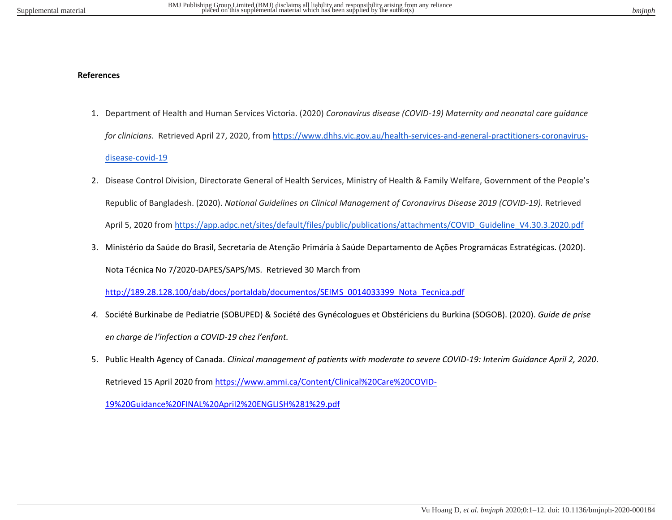## **References**

- 1. Department of Health and Human Services Victoria. (2020) *Coronavirus disease (COVID-19) Maternity and neonatal care guidance for clinicians.* Retrieved April 27, 2020, from [https://www.dhhs.vic.gov.au/health-services-and-general-practitioners-coronavirus](https://www.dhhs.vic.gov.au/health-services-and-general-practitioners-coronavirus-disease-covid-19)[disease-covid-19](https://www.dhhs.vic.gov.au/health-services-and-general-practitioners-coronavirus-disease-covid-19)
- 2. Disease Control Division, Directorate General of Health Services, Ministry of Health & Family Welfare, Government of the People's Republic of Bangladesh. (2020). *National Guidelines on Clinical Management of Coronavirus Disease 2019 (COVID-19).* Retrieved April 5, 2020 from [https://app.adpc.net/sites/default/files/public/publications/attachments/COVID\\_Guideline\\_V4.30.3.2020.pdf](https://app.adpc.net/sites/default/files/public/publications/attachments/COVID_Guideline_V4.30.3.2020.pdf)
- 3. Ministério da Saúde do Brasil, Secretaria de Atenção Primária à Saúde Departamento de Ações Programácas Estratégicas. (2020). Nota Técnica No 7/2020-DAPES/SAPS/MS. Retrieved 30 March from

[http://189.28.128.100/dab/docs/portaldab/documentos/SEIMS\\_0014033399\\_Nota\\_Tecnica.pdf](http://189.28.128.100/dab/docs/portaldab/documentos/SEIMS_0014033399_Nota_Tecnica.pdf)

- *4.* Société Burkinabe de Pediatrie (SOBUPED) & Société des Gynécologues et Obstériciens du Burkina (SOGOB). (2020). *Guide de prise en charge de l'infection a COVID-19 chez l'enfant.*
- 5. Public Health Agency of Canada. *Clinical management of patients with moderate to severe COVID-19: Interim Guidance April 2, 2020*. Retrieved 15 April 2020 fro[m https://www.ammi.ca/Content/Clinical%20Care%20COVID-](https://www.ammi.ca/Content/Clinical%20Care%20COVID-19%20Guidance%20FINAL%20April2%20ENGLISH%281%29.pdf)

[19%20Guidance%20FINAL%20April2%20ENGLISH%281%29.pdf](https://www.ammi.ca/Content/Clinical%20Care%20COVID-19%20Guidance%20FINAL%20April2%20ENGLISH%281%29.pdf)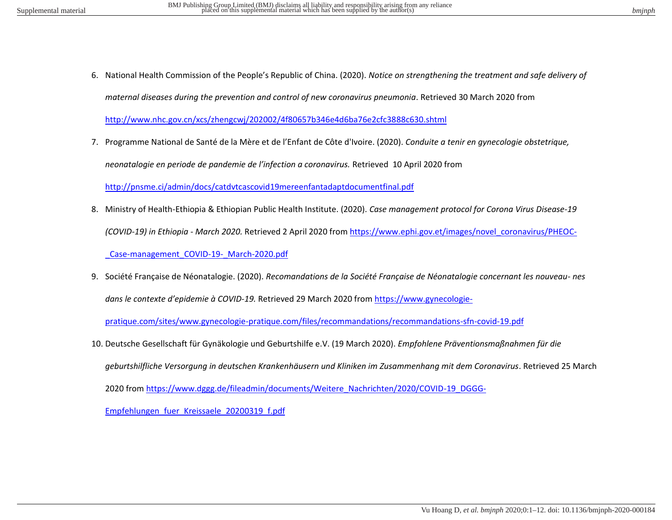6. National Health Commission of the People's Republic of China. (2020). *Notice on strengthening the treatment and safe delivery of maternal diseases during the prevention and control of new coronavirus pneumonia*. Retrieved 30 March 2020 from

<http://www.nhc.gov.cn/xcs/zhengcwj/202002/4f80657b346e4d6ba76e2cfc3888c630.shtml>

7. Programme National de Santé de la Mère et de l'Enfant de Côte d'Ivoire. (2020). *Conduite a tenir en gynecologie obstetrique,* 

*neonatalogie en periode de pandemie de l'infection a coronavirus.* Retrieved 10 April 2020 from

<http://pnsme.ci/admin/docs/catdvtcascovid19mereenfantadaptdocumentfinal.pdf>

- 8. Ministry of Health-Ethiopia & Ethiopian Public Health Institute. (2020). *Case management protocol for Corona Virus Disease-19 (COVID-19) in Ethiopia - March 2020.* Retrieved 2 April 2020 from [https://www.ephi.gov.et/images/novel\\_coronavirus/PHEOC-](https://www.ephi.gov.et/images/novel_coronavirus/PHEOC-_Case-management_COVID-19-_March-2020.pdf) [\\_Case-management\\_COVID-19-\\_March-2020.pdf](https://www.ephi.gov.et/images/novel_coronavirus/PHEOC-_Case-management_COVID-19-_March-2020.pdf)
- 9. Société Française de Néonatalogie. (2020). *Recomandations de la Société Française de Néonatalogie concernant les nouveau- nes dans le contexte d'epidemie à COVID-19.* Retrieved 29 March 2020 from [https://www.gynecologie-](https://www.gynecologie-pratique.com/sites/www.gynecologie-pratique.com/files/recommandations/recommandations-sfn-covid-19.pdf)

[pratique.com/sites/www.gynecologie-pratique.com/files/recommandations/recommandations-sfn-covid-19.pdf](https://www.gynecologie-pratique.com/sites/www.gynecologie-pratique.com/files/recommandations/recommandations-sfn-covid-19.pdf) 

10. Deutsche Gesellschaft für Gynäkologie und Geburtshilfe e.V. (19 March 2020). *Empfohlene Präventionsmaßnahmen für die geburtshilfliche Versorgung in deutschen Krankenhäusern und Kliniken im Zusammenhang mit dem Coronavirus*. Retrieved 25 March 2020 from [https://www.dggg.de/fileadmin/documents/Weitere\\_Nachrichten/2020/COVID-19\\_DGGG-](https://www.dggg.de/fileadmin/documents/Weitere_Nachrichten/2020/COVID-19_DGGG-Empfehlungen_fuer_Kreissaele_20200319_f.pdf)[Empfehlungen\\_fuer\\_Kreissaele\\_20200319\\_f.pdf](https://www.dggg.de/fileadmin/documents/Weitere_Nachrichten/2020/COVID-19_DGGG-Empfehlungen_fuer_Kreissaele_20200319_f.pdf)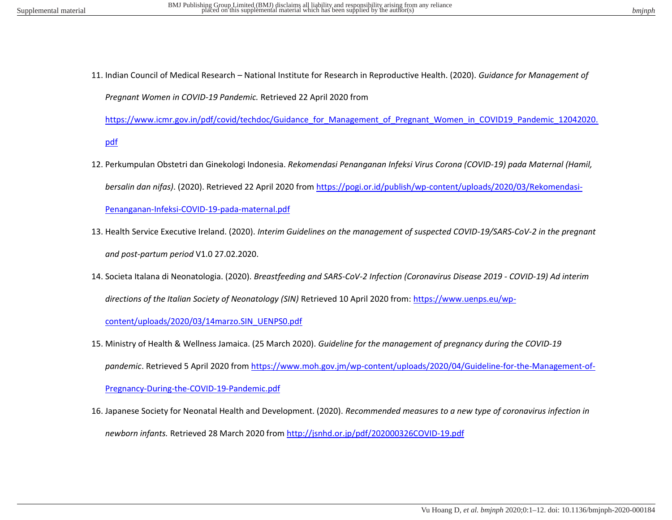11. Indian Council of Medical Research – National Institute for Research in Reproductive Health. (2020). *Guidance for Management of Pregnant Women in COVID-19 Pandemic.* Retrieved 22 April 2020 from

[https://www.icmr.gov.in/pdf/covid/techdoc/Guidance\\_for\\_Management\\_of\\_Pregnant\\_Women\\_in\\_COVID19\\_Pandemic\\_12042020.](https://www.icmr.gov.in/pdf/covid/techdoc/Guidance_for_Management_of_Pregnant_Women_in_COVID19_Pandemic_12042020.pdf)

[pdf](https://www.icmr.gov.in/pdf/covid/techdoc/Guidance_for_Management_of_Pregnant_Women_in_COVID19_Pandemic_12042020.pdf)

- 12. Perkumpulan Obstetri dan Ginekologi Indonesia. *Rekomendasi Penanganan Infeksi Virus Corona (COVID-19) pada Maternal (Hamil, bersalin dan nifas)*. (2020). Retrieved 22 April 2020 from [https://pogi.or.id/publish/wp-content/uploads/2020/03/Rekomendasi-](https://pogi.or.id/publish/wp-content/uploads/2020/03/Rekomendasi-Penanganan-Infeksi-COVID-19-pada-maternal.pdf)[Penanganan-Infeksi-COVID-19-pada-maternal.pdf](https://pogi.or.id/publish/wp-content/uploads/2020/03/Rekomendasi-Penanganan-Infeksi-COVID-19-pada-maternal.pdf)
- 13. Health Service Executive Ireland. (2020). *Interim Guidelines on the management of suspected COVID-19/SARS-CoV-2 in the pregnant and post-partum period* V1.0 27.02.2020.
- 14. Societa Italana di Neonatologia. (2020). *Breastfeeding and SARS-CoV-2 Infection (Coronavirus Disease 2019 COVID-19) Ad interim directions of the Italian Society of Neonatology (SIN)* Retrieved 10 April 2020 from: [https://www.uenps.eu/wp](https://www.uenps.eu/wp-content/uploads/2020/03/14marzo.SIN_UENPS0.pdf)[content/uploads/2020/03/14marzo.SIN\\_UENPS0.pdf](https://www.uenps.eu/wp-content/uploads/2020/03/14marzo.SIN_UENPS0.pdf)
- 15. Ministry of Health & Wellness Jamaica. (25 March 2020). *Guideline for the management of pregnancy during the COVID-19 pandemic*. Retrieved 5 April 2020 from [https://www.moh.gov.jm/wp-content/uploads/2020/04/Guideline-for-the-Management-of-](https://www.moh.gov.jm/wp-content/uploads/2020/04/Guideline-for-the-Management-of-Pregnancy-During-the-COVID-19-Pandemic.pdf)[Pregnancy-During-the-COVID-19-Pandemic.pdf](https://www.moh.gov.jm/wp-content/uploads/2020/04/Guideline-for-the-Management-of-Pregnancy-During-the-COVID-19-Pandemic.pdf)
- 16. Japanese Society for Neonatal Health and Development. (2020). *Recommended measures to a new type of coronavirus infection in newborn infants.* Retrieved 28 March 2020 from<http://jsnhd.or.jp/pdf/202000326COVID-19.pdf>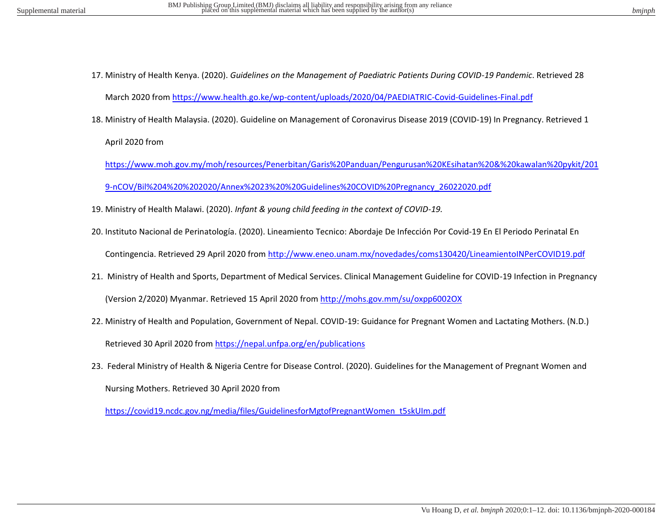- 17. Ministry of Health Kenya. (2020). *Guidelines on the Management of Paediatric Patients During COVID-19 Pandemic*. Retrieved 28 March 2020 from<https://www.health.go.ke/wp-content/uploads/2020/04/PAEDIATRIC-Covid-Guidelines-Final.pdf>
- 18. Ministry of Health Malaysia. (2020). Guideline on Management of Coronavirus Disease 2019 (COVID-19) In Pregnancy. Retrieved 1

April 2020 from

[https://www.moh.gov.my/moh/resources/Penerbitan/Garis%20Panduan/Pengurusan%20KEsihatan%20&%20kawalan%20pykit/201](https://www.moh.gov.my/moh/resources/Penerbitan/Garis%20Panduan/Pengurusan%20KEsihatan%20&%20kawalan%20pykit/2019-nCOV/Bil%204%20%202020/Annex%2023%20%20Guidelines%20COVID%20Pregnancy_26022020.pdf) [9-nCOV/Bil%204%20%202020/Annex%2023%20%20Guidelines%20COVID%20Pregnancy\\_26022020.pdf](https://www.moh.gov.my/moh/resources/Penerbitan/Garis%20Panduan/Pengurusan%20KEsihatan%20&%20kawalan%20pykit/2019-nCOV/Bil%204%20%202020/Annex%2023%20%20Guidelines%20COVID%20Pregnancy_26022020.pdf) 

- 19. Ministry of Health Malawi. (2020). *Infant & young child feeding in the context of COVID-19.*
- 20. Instituto Nacional de Perinatología. (2020). Lineamiento Tecnico: Abordaje De Infección Por Covid-19 En El Periodo Perinatal En Contingencia. Retrieved 29 April 2020 from<http://www.eneo.unam.mx/novedades/coms130420/LineamientoINPerCOVID19.pdf>
- 21. Ministry of Health and Sports, Department of Medical Services. Clinical Management Guideline for COVID-19 Infection in Pregnancy (Version 2/2020) Myanmar. Retrieved 15 April 2020 fro[m http://mohs.gov.mm/su/oxpp6002OX](http://mohs.gov.mm/su/oxpp6002OX)
- 22. Ministry of Health and Population, Government of Nepal. COVID-19: Guidance for Pregnant Women and Lactating Mothers. (N.D.) Retrieved 30 April 2020 fro[m https://nepal.unfpa.org/en/publications](https://nepal.unfpa.org/en/publications)
- 23. Federal Ministry of Health & Nigeria Centre for Disease Control. (2020). Guidelines for the Management of Pregnant Women and Nursing Mothers. Retrieved 30 April 2020 from

[https://covid19.ncdc.gov.ng/media/files/GuidelinesforMgtofPregnantWomen\\_t5skUIm.pdf](https://covid19.ncdc.gov.ng/media/files/GuidelinesforMgtofPregnantWomen_t5skUIm.pdf)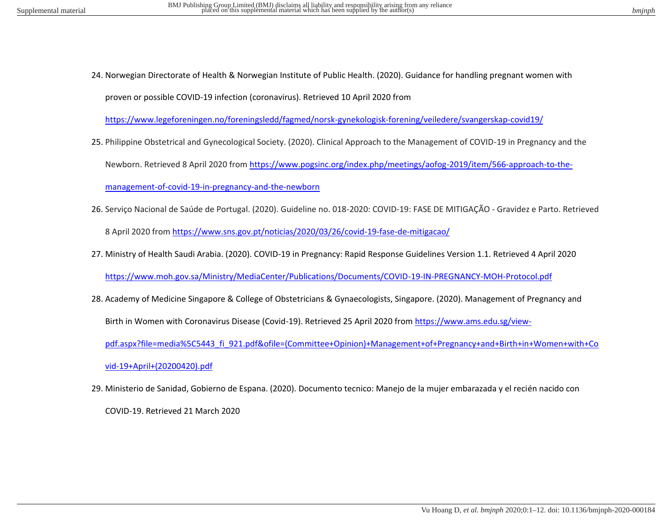24. Norwegian Directorate of Health & Norwegian Institute of Public Health. (2020). Guidance for handling pregnant women with proven or possible COVID-19 infection (coronavirus). Retrieved 10 April 2020 from

<https://www.legeforeningen.no/foreningsledd/fagmed/norsk-gynekologisk-forening/veiledere/svangerskap-covid19/>

25. Philippine Obstetrical and Gynecological Society. (2020). Clinical Approach to the Management of COVID-19 in Pregnancy and the

Newborn. Retrieved 8 April 2020 from [https://www.pogsinc.org/index.php/meetings/aofog-2019/item/566-approach-to-the-](https://www.pogsinc.org/index.php/meetings/aofog-2019/item/566-approach-to-the-management-of-covid-19-in-pregnancy-and-the-newborn)

[management-of-covid-19-in-pregnancy-and-the-newborn](https://www.pogsinc.org/index.php/meetings/aofog-2019/item/566-approach-to-the-management-of-covid-19-in-pregnancy-and-the-newborn)

26. Serviço Nacional de Saúde de Portugal. (2020). Guideline no. 018-2020: COVID-19: FASE DE MITIGAÇÃO - Gravidez e Parto. Retrieved

8 April 2020 from<https://www.sns.gov.pt/noticias/2020/03/26/covid-19-fase-de-mitigacao/>

- 27. Ministry of Health Saudi Arabia. (2020). COVID-19 in Pregnancy: Rapid Response Guidelines Version 1.1. Retrieved 4 April 2020 <https://www.moh.gov.sa/Ministry/MediaCenter/Publications/Documents/COVID-19-IN-PREGNANCY-MOH-Protocol.pdf>
- 28. Academy of Medicine Singapore & College of Obstetricians & Gynaecologists, Singapore. (2020). Management of Pregnancy and Birth in Women with Coronavirus Disease (Covid-19). Retrieved 25 April 2020 from [https://www.ams.edu.sg/view](https://www.ams.edu.sg/view-pdf.aspx?file=media%5C5443_fi_921.pdf&ofile=(Committee+Opinion)+Management+of+Pregnancy+and+Birth+in+Women+with+Covid-19+April+(20200420).pdf)[pdf.aspx?file=media%5C5443\\_fi\\_921.pdf&ofile=\(Committee+Opinion\)+Management+of+Pregnancy+and+Birth+in+Women+with+Co](https://www.ams.edu.sg/view-pdf.aspx?file=media%5C5443_fi_921.pdf&ofile=(Committee+Opinion)+Management+of+Pregnancy+and+Birth+in+Women+with+Covid-19+April+(20200420).pdf)

[vid-19+April+\(20200420\).pdf](https://www.ams.edu.sg/view-pdf.aspx?file=media%5C5443_fi_921.pdf&ofile=(Committee+Opinion)+Management+of+Pregnancy+and+Birth+in+Women+with+Covid-19+April+(20200420).pdf) 

29. Ministerio de Sanidad, Gobierno de Espana. (2020). Documento tecnico: Manejo de la mujer embarazada y el recién nacido con COVID-19. Retrieved 21 March 2020